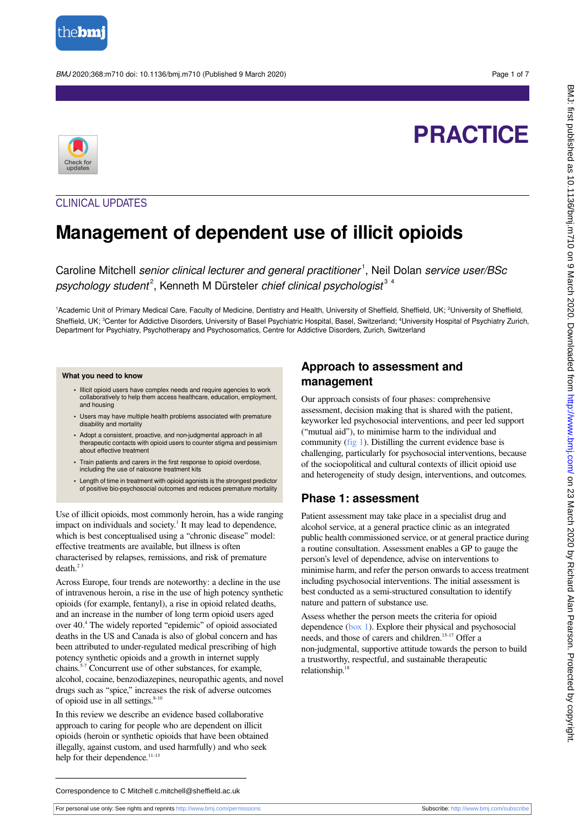

BMJ 2020;368:m710 doi: 10.1136/bmj.m710 (Published 9 March 2020) Page 1 of 7

# **PRACTICE**



## CLINICAL UPDATES

## **Management of dependent use of illicit opioids**

Caroline Mitchell senior clinical lecturer and general practitioner<sup>1</sup>, Neil Dolan service user/BSc psychology student<sup>2</sup>, Kenneth M Dürsteler chief clinical psychologist<sup>34</sup>

<sup>1</sup>Academic Unit of Primary Medical Care, Faculty of Medicine, Dentistry and Health, University of Sheffield, Sheffield, UK; <sup>2</sup>University of Sheffield, Sheffield, UK; <sup>3</sup>Center for Addictive Disorders, University of Basel Psychiatric Hospital, Basel, Switzerland; <sup>4</sup>University Hospital of Psychiatry Zurich, Department for Psychiatry, Psychotherapy and Psychosomatics, Centre for Addictive Disorders, Zurich, Switzerland

#### **What you need to know**

- Illicit opioid users have complex needs and require agencies to work collaboratively to help them access healthcare, education, employment, and housing
- **•** Users may have multiple health problems associated with premature disability and mortality
- **•** Adopt a consistent, proactive, and non-judgmental approach in all therapeutic contacts with opioid users to counter stigma and pessimism about effective treatment
- **•** Train patients and carers in the first response to opioid overdose, including the use of naloxone treatment kits
- **•** Length of time in treatment with opioid agonists is the strongest predictor of positive bio-psychosocial outcomes and reduces premature mortality

Use of illicit opioids, most commonly heroin, has a wide ranging impact on individuals and society.<sup>1</sup> It may lead to dependence, which is best conceptualised using a "chronic disease" model: effective treatments are available, but illness is often characterised by relapses, remissions, and risk of premature death.<sup>23</sup>

Across Europe, four trends are noteworthy: a decline in the use of intravenous heroin, a rise in the use of high potency synthetic opioids (for example, fentanyl), a rise in opioid related deaths, and an increase in the number of long term opioid users aged over 40.<sup>4</sup> The widely reported "epidemic" of opioid associated deaths in the US and Canada is also of global concern and has been attributed to under-regulated medical prescribing of high potency synthetic opioids and a growth in internet supply chains.5-7 Concurrent use of other substances, for example, alcohol, cocaine, benzodiazepines, neuropathic agents, and novel drugs such as "spice," increases the risk of adverse outcomes of opioid use in all settings. $8-10$ 

In this review we describe an evidence based collaborative approach to caring for people who are dependent on illicit opioids (heroin or synthetic opioids that have been obtained illegally, against custom, and used harmfully) and who seek help for their dependence.<sup>11-13</sup>

## **Approach to assessment and management**

Our approach consists of four phases: comprehensive assessment, decision making that is shared with the patient, keyworker led psychosocial interventions, and peer led support ("mutual aid"), to minimise harm to the individual and community [\(fig 1](#page-6-0)). Distilling the current evidence base is challenging, particularly for psychosocial interventions, because of the sociopolitical and cultural contexts of illicit opioid use and heterogeneity of study design, interventions, and outcomes.

## **Phase 1: assessment**

Patient assessment may take place in a specialist drug and alcohol service, at a general practice clinic as an integrated public health commissioned service, or at general practice during a routine consultation. Assessment enables a GP to gauge the person's level of dependence, advise on interventions to minimise harm, and refer the person onwards to access treatment including psychosocial interventions. The initial assessment is best conducted as a semi-structured consultation to identify nature and pattern of substance use.

Assess whether the person meets the criteria for opioid dependence ([box 1](#page-1-0)). Explore their physical and psychosocial needs, and those of carers and children.<sup>15-17</sup> Offer a non-judgmental, supportive attitude towards the person to build a trustworthy, respectful, and sustainable therapeutic relationship. $1$ 

Correspondence to C Mitchell c.mitchell@sheffield.ac.uk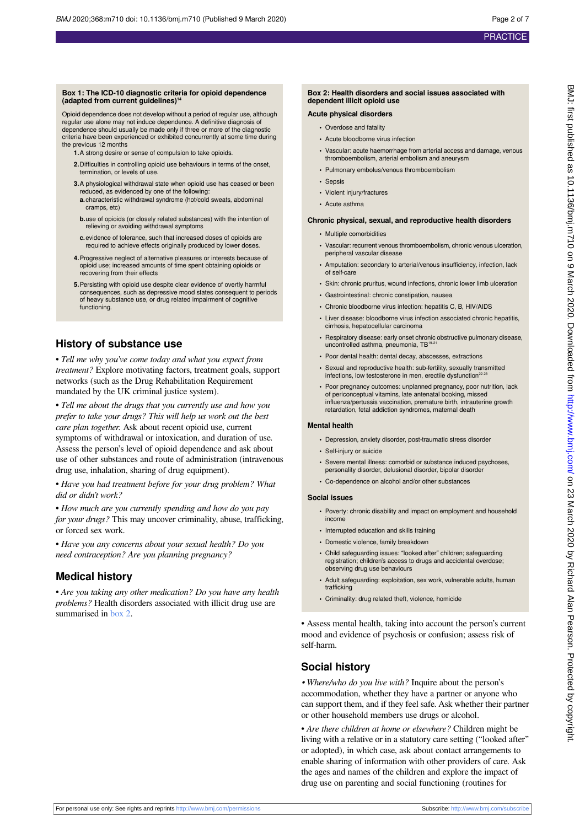#### <span id="page-1-0"></span>**Box 1: The ICD-10 diagnostic criteria for opioid dependence (adapted from current guidelines)<sup>14</sup>**

Opioid dependence does not develop without a period of regular use, although regular use alone may not induce dependence. A definitive diagnosis of dependence should usually be made only if three or more of the diagnostic criteria have been experienced or exhibited concurrently at some time during the previous 12 months

- **1.**A strong desire or sense of compulsion to take opioids.
- **2.**Difficulties in controlling opioid use behaviours in terms of the onset, termination, or levels of use.
- **3.**A physiological withdrawal state when opioid use has ceased or been reduced, as evidenced by one of the following:
- **a.**characteristic withdrawal syndrome (hot/cold sweats, abdominal cramps, etc)
- **b.**use of opioids (or closely related substances) with the intention of relieving or avoiding withdrawal symptoms
- **c.**evidence of tolerance, such that increased doses of opioids are required to achieve effects originally produced by lower doses.
- **4.**Progressive neglect of alternative pleasures or interests because of opioid use; increased amounts of time spent obtaining opioids or recovering from their effects
- **5.**Persisting with opioid use despite clear evidence of overtly harmful consequences, such as depressive mood states consequent to periods of heavy substance use, or drug related impairment of cognitive functioning.

### **History of substance use**

• *Tell me why you've come today and what you expect from treatment?* Explore motivating factors, treatment goals, support networks (such as the Drug Rehabilitation Requirement mandated by the UK criminal justice system).

• *Tell me about the drugs that you currently use and how you prefer to take your drugs? This will help us work out the best care plan together.* Ask about recent opioid use, current symptoms of withdrawal or intoxication, and duration of use. Assess the person's level of opioid dependence and ask about use of other substances and route of administration (intravenous drug use, inhalation, sharing of drug equipment).

• *Have you had treatment before for your drug problem? What did or didn't work?*

• *How much are you currently spending and how do you pay for your drugs?* This may uncover criminality, abuse, trafficking, or forced sex work.

• *Have you any concerns about your sexual health? Do you need contraception? Are you planning pregnancy?*

## **Medical history**

• *Are you taking any other medication? Do you have any health problems?* Health disorders associated with illicit drug use are summarised in [box 2.](#page-1-1)

#### <span id="page-1-1"></span>**Box 2: Health disorders and social issues associated with dependent illicit opioid use**

#### **Acute physical disorders**

- **•** Overdose and fatality
- **•** Acute bloodborne virus infection
- **•** Vascular: acute haemorrhage from arterial access and damage, venous thromboembolism, arterial embolism and aneurysm
- **•** Pulmonary embolus/venous thromboembolism
- **•** Sepsis
- **•** Violent injury/fractures
- **•** Acute asthma

#### **Chronic physical, sexual, and reproductive health disorders**

- **•** Multiple comorbidities
- **•** Vascular: recurrent venous thromboembolism, chronic venous ulceration, peripheral vascular disease
- **•** Amputation: secondary to arterial/venous insufficiency, infection, lack of self-care
- **•** Skin: chronic pruritus, wound infections, chronic lower limb ulceration
- **•** Gastrointestinal: chronic constipation, nausea
- **•** Chronic bloodborne virus infection: hepatitis C, B, HIV/AIDS
- **•** Liver disease: bloodborne virus infection associated chronic hepatitis,
- cirrhosis, hepatocellular carcinoma
- **•** Respiratory disease: early onset chronic obstructive pulmonary disease, uncontrolled asthma, pneumonia, TB<sup>19-2</sup>
- **•** Poor dental health: dental decay, abscesses, extractions
- **•** Sexual and reproductive health: sub-fertility, sexually transmitted infections, low testosterone in men, erectile dysfunction
- **•** Poor pregnancy outcomes: unplanned pregnancy, poor nutrition, lack of periconceptual vitamins, late antenatal booking, missed influenza/pertussis vaccination, premature birth, intrauterine growth retardation, fetal addiction syndromes, maternal death

#### **Mental health**

**•** Depression, anxiety disorder, post-traumatic stress disorder

**•** Co-dependence on alcohol and/or other substances

- **•** Self-injury or suicide
- **•** Severe mental illness: comorbid or substance induced psychoses, personality disorder, delusional disorder, bipolar disorder

## **Social issues**

- **•** Poverty: chronic disability and impact on employment and household income
- **•** Interrupted education and skills training
- **•** Domestic violence, family breakdown
- **•** Child safeguarding issues: "looked after" children; safeguarding registration; children's access to drugs and accidental overdose; observing drug use behaviours
- **•** Adult safeguarding: exploitation, sex work, vulnerable adults, human trafficking
- **•** Criminality: drug related theft, violence, homicide

• Assess mental health, taking into account the person's current mood and evidence of psychosis or confusion; assess risk of self-harm.

## **Social history**

*• Where/who do you live with?* Inquire about the person's accommodation, whether they have a partner or anyone who can support them, and if they feel safe. Ask whether their partner or other household members use drugs or alcohol.

• *Are there children at home or elsewhere?* Children might be living with a relative or in a statutory care setting ("looked after" or adopted), in which case, ask about contact arrangements to enable sharing of information with other providers of care. Ask the ages and names of the children and explore the impact of drug use on parenting and social functioning (routines for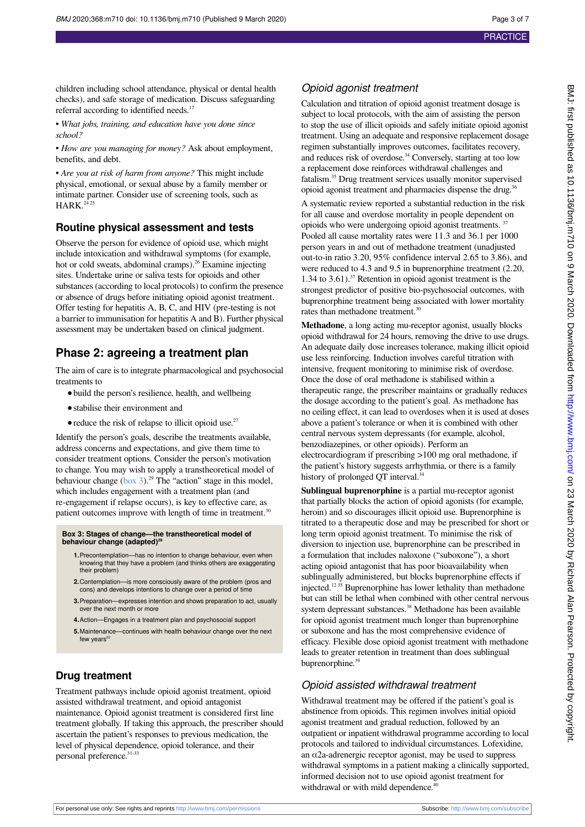children including school attendance, physical or dental health checks), and safe storage of medication. Discuss safeguarding referral according to identified needs.<sup>17</sup>

• *What jobs, training, and education have you done since school?*

• *How are you managing for money?* Ask about employment, benefits, and debt.

• *Are you at risk of harm from anyone?* This might include physical, emotional, or sexual abuse by a family member or intimate partner. Consider use of screening tools, such as  $HARK.<sup>24</sup>$ 

#### **Routine physical assessment and tests**

Observe the person for evidence of opioid use, which might include intoxication and withdrawal symptoms (for example, hot or cold sweats, abdominal cramps).<sup>26</sup> Examine injecting sites. Undertake urine or saliva tests for opioids and other substances (according to local protocols) to confirm the presence or absence of drugs before initiating opioid agonist treatment. Offer testing for hepatitis A, B, C, and HIV (pre-testing is not a barrier to immunisation for hepatitis A and B). Further physical assessment may be undertaken based on clinical judgment.

## **Phase 2: agreeing a treatment plan**

The aim of care is to integrate pharmacological and psychosocial treatments to

- build the person's resilience, health, and wellbeing
- **•**stabilise their environment and
- reduce the risk of relapse to illicit opioid use.<sup>27</sup>

<span id="page-2-0"></span>Identify the person's goals, describe the treatments available, address concerns and expectations, and give them time to consider treatment options. Consider the person's motivation to change. You may wish to apply a transtheoretical model of behaviour change  $(box 3)^{29}$  $(box 3)^{29}$  $(box 3)^{29}$  The "action" stage in this model, which includes engagement with a treatment plan (and re-engagement if relapse occurs), is key to effective care, as patient outcomes improve with length of time in treatment.<sup>30</sup>

#### **Box 3: Stages of change—the transtheoretical model of behaviour change (adapted)<sup>28</sup>**

- **1.**Precontemplation—has no intention to change behaviour, even when knowing that they have a problem (and thinks others are exaggerating their problem)
- **2.**Contemplation—is more consciously aware of the problem (pros and cons) and develops intentions to change over a period of time
- **3.**Preparation—expresses intention and shows preparation to act, usually over the next month or more
- **4.**Action—Engages in a treatment plan and psychosocial support
- **5.**Maintenance—continues with health behaviour change over the next few years

### **Drug treatment**

Treatment pathways include opioid agonist treatment, opioid assisted withdrawal treatment, and opioid antagonist maintenance. Opioid agonist treatment is considered first line treatment globally. If taking this approach, the prescriber should ascertain the patient's responses to previous medication, the level of physical dependence, opioid tolerance, and their personal preference.<sup>31-33</sup>

## Opioid agonist treatment

Calculation and titration of opioid agonist treatment dosage is subject to local protocols, with the aim of assisting the person to stop the use of illicit opioids and safely initiate opioid agonist treatment. Using an adequate and responsive replacement dosage regimen substantially improves outcomes, facilitates recovery, and reduces risk of overdose.<sup>34</sup> Conversely, starting at too low a replacement dose reinforces withdrawal challenges and fatalism.<sup>35</sup> Drug treatment services usually monitor supervised opioid agonist treatment and pharmacies dispense the drug.<sup>36</sup>

A systematic review reported a substantial reduction in the risk for all cause and overdose mortality in people dependent on opioids who were undergoing opioid agonist treatments. <sup>37</sup> Pooled all cause mortality rates were 11.3 and 36.1 per 1000 person years in and out of methadone treatment (unadjusted out-to-in ratio 3.20, 95% confidence interval 2.65 to 3.86), and were reduced to 4.3 and 9.5 in buprenorphine treatment (2.20, 1.34 to 3.61).<sup>37</sup> Retention in opioid agonist treatment is the strongest predictor of positive bio-psychosocial outcomes, with buprenorphine treatment being associated with lower mortality rates than methadone treatment.<sup>30</sup>

**Methadone**, a long acting mu-receptor agonist, usually blocks opioid withdrawal for 24 hours, removing the drive to use drugs. An adequate daily dose increases tolerance, making illicit opioid use less reinforcing. Induction involves careful titration with intensive, frequent monitoring to minimise risk of overdose. Once the dose of oral methadone is stabilised within a therapeutic range, the prescriber maintains or gradually reduces the dosage according to the patient's goal. As methadone has no ceiling effect, it can lead to overdoses when it is used at doses above a patient's tolerance or when it is combined with other central nervous system depressants (for example, alcohol, benzodiazepines, or other opioids). Perform an electrocardiogram if prescribing >100 mg oral methadone, if the patient's history suggests arrhythmia, or there is a family history of prolonged QT interval.<sup>34</sup>

**Sublingual buprenorphine** is a partial mu-receptor agonist that partially blocks the action of opioid agonists (for example, heroin) and so discourages illicit opioid use. Buprenorphine is titrated to a therapeutic dose and may be prescribed for short or long term opioid agonist treatment. To minimise the risk of diversion to injection use, buprenorphine can be prescribed in a formulation that includes naloxone ("suboxone"), a short acting opioid antagonist that has poor bioavailability when sublingually administered, but blocks buprenorphine effects if injected.12 35 Buprenorphine has lower lethality than methadone but can still be lethal when combined with other central nervous system depressant substances.<sup>38</sup> Methadone has been available for opioid agonist treatment much longer than buprenorphine or suboxone and has the most comprehensive evidence of efficacy. Flexible dose opioid agonist treatment with methadone leads to greater retention in treatment than does sublingual buprenorphine.<sup>39</sup>

#### Opioid assisted withdrawal treatment

Withdrawal treatment may be offered if the patient's goal is abstinence from opioids. This regimen involves initial opioid agonist treatment and gradual reduction, followed by an outpatient or inpatient withdrawal programme according to local protocols and tailored to individual circumstances. Lofexidine, an  $\alpha$ 2a-adrenergic receptor agonist, may be used to suppress withdrawal symptoms in a patient making a clinically supported, informed decision not to use opioid agonist treatment for withdrawal or with mild dependence.<sup>40</sup>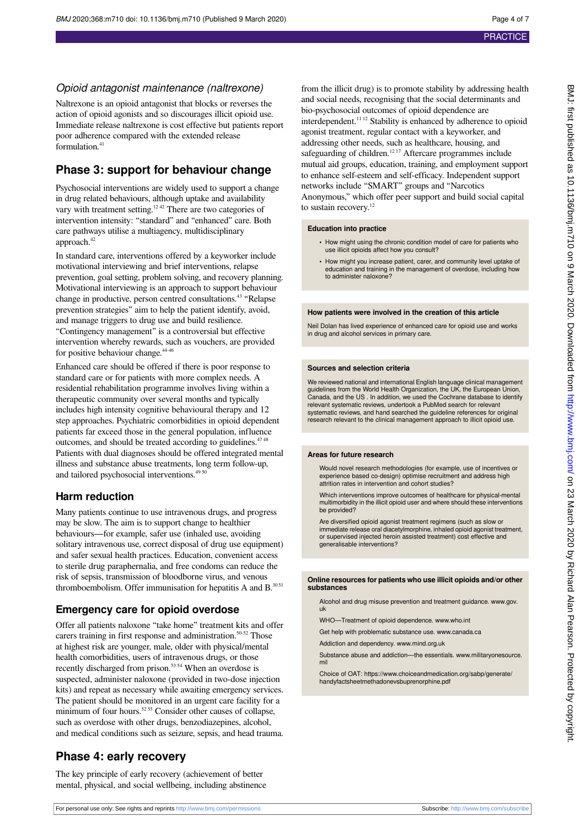## Opioid antagonist maintenance (naltrexone)

Naltrexone is an opioid antagonist that blocks or reverses the action of opioid agonists and so discourages illicit opioid use. Immediate release naltrexone is cost effective but patients report poor adherence compared with the extended release formulation.<sup>41</sup>

## **Phase 3: support for behaviour change**

Psychosocial interventions are widely used to support a change in drug related behaviours, although uptake and availability vary with treatment setting.<sup>12,42</sup> There are two categories of intervention intensity: "standard" and "enhanced" care. Both care pathways utilise a multiagency, multidisciplinary approach.<sup>42</sup>

In standard care, interventions offered by a keyworker include motivational interviewing and brief interventions, relapse prevention, goal setting, problem solving, and recovery planning. Motivational interviewing is an approach to support behaviour change in productive, person centred consultations.<sup>43</sup> "Relapse prevention strategies" aim to help the patient identify, avoid, and manage triggers to drug use and build resilience.

"Contingency management" is a controversial but effective intervention whereby rewards, such as vouchers, are provided for positive behaviour change.<sup>44-46</sup>

Enhanced care should be offered if there is poor response to standard care or for patients with more complex needs. A residential rehabilitation programme involves living within a therapeutic community over several months and typically includes high intensity cognitive behavioural therapy and 12 step approaches. Psychiatric comorbidities in opioid dependent patients far exceed those in the general population, influence outcomes, and should be treated according to guidelines. $4748$ Patients with dual diagnoses should be offered integrated mental illness and substance abuse treatments, long term follow-up, and tailored psychosocial interventions.<sup>495</sup>

## **Harm reduction**

Many patients continue to use intravenous drugs, and progress may be slow. The aim is to support change to healthier behaviours—for example, safer use (inhaled use, avoiding solitary intravenous use, correct disposal of drug use equipment) and safer sexual health practices. Education, convenient access to sterile drug paraphernalia, and free condoms can reduce the risk of sepsis, transmission of bloodborne virus, and venous thromboembolism. Offer immunisation for hepatitis A and  $B$ .<sup>3051</sup>

## **Emergency care for opioid overdose**

Offer all patients naloxone "take home" treatment kits and offer carers training in first response and administration.<sup>50-52</sup> Those at highest risk are younger, male, older with physical/mental health comorbidities, users of intravenous drugs, or those recently discharged from prison.<sup>53 54</sup> When an overdose is suspected, administer naloxone (provided in two-dose injection kits) and repeat as necessary while awaiting emergency services. The patient should be monitored in an urgent care facility for a minimum of four hours.<sup>52.55</sup> Consider other causes of collapse, such as overdose with other drugs, benzodiazepines, alcohol, and medical conditions such as seizure, sepsis, and head trauma.

## **Phase 4: early recovery**

The key principle of early recovery (achievement of better mental, physical, and social wellbeing, including abstinence

from the illicit drug) is to promote stability by addressing health and social needs, recognising that the social determinants and bio-psychosocial outcomes of opioid dependence are interdependent.11 12 Stability is enhanced by adherence to opioid agonist treatment, regular contact with a keyworker, and addressing other needs, such as healthcare, housing, and safeguarding of children.<sup>1217</sup> Aftercare programmes include mutual aid groups, education, training, and employment support to enhance self-esteem and self-efficacy. Independent support networks include "SMART" groups and "Narcotics Anonymous," which offer peer support and build social capital to sustain recovery.<sup>12</sup>

#### **Education into practice**

- **•** How might using the chronic condition model of care for patients who use illicit opioids affect how you consult?
- **•** How might you increase patient, carer, and community level uptake of education and training in the management of overdose, including how to administer naloxone?

#### **How patients were involved in the creation of this article**

Neil Dolan has lived experience of enhanced care for opioid use and works in drug and alcohol services in primary care.

#### **Sources and selection criteria**

We reviewed national and international English language clinical management guidelines from the World Health Organization, the UK, the European Union, Canada, and the US . In addition, we used the Cochrane database to identify relevant systematic reviews, undertook a PubMed search for relevant systematic reviews, and hand searched the guideline references for original research relevant to the clinical management approach to illicit opioid use.

#### **Areas for future research**

Would novel research methodologies (for example, use of incentives or experience based co-design) optimise recruitment and address high attrition rates in intervention and cohort studies?

Which interventions improve outcomes of healthcare for physical-mental multimorbidity in the illicit opioid user and where should these interventions be provided?

Are diversified opioid agonist treatment regimens (such as slow or immediate release oral diacetylmorphine, inhaled opioid agonist treatment, or supervised injected heroin assisted treatment) cost effective and generalisable interventions?

#### **Online resources for patients who use illicit opioids and/or other substances**

Alcohol and drug misuse prevention and treatment guidance. [www.gov.](http://www.gov.uk) [uk](http://www.gov.uk)

WHO—Treatment of opioid dependence. [www.who.int](http://www.who.int)

Get help with problematic substance use. [www.canada.ca](http://www.canada.ca)

Addiction and dependency. [www.mind.org.uk](http://www.mind.org.uk)

Substance abuse and addiction—the essentials. [www.militaryonesource.](http://www.militaryonesource.mil) [mil](http://www.militaryonesource.mil)

Choice of OAT: https://www.choiceandmedication.org/sabp/generate/ handyfactsheetmethadonevsbuprenorphine.pdf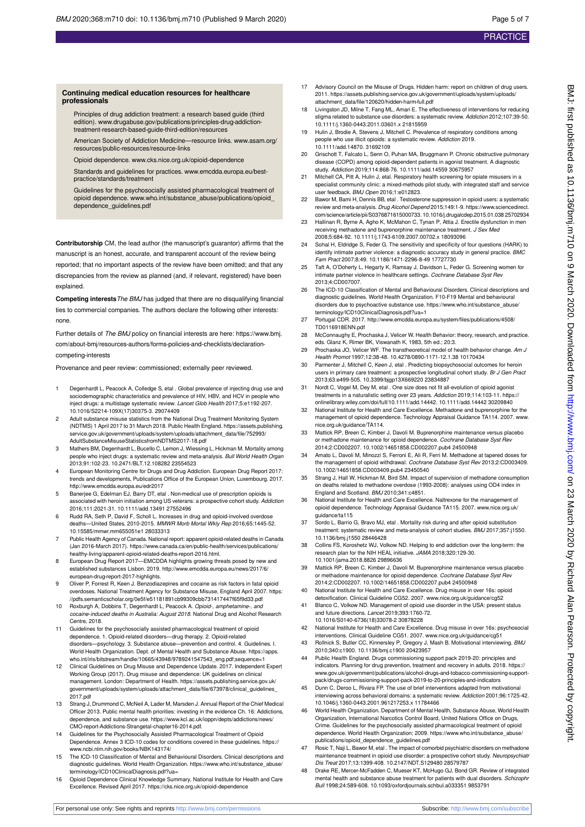BMJ: first published as 10.1136/bmj.m710 on 9 March 2020. Downloaded from http://www.bmj.com/ on 23 March 2020 by Richard Alan Pearson. Protected by copyright BMJ: first published as 10.1136/bmj.m710 on 9 March 2020. Downloaded from <http://www.bmj.com/> on 23 March 2020 by Rarch 2020. Protected by copyright.

#### **Continuing medical education resources for healthcare professionals**

Principles of drug addiction treatment: a research based guide (third edition). [www.drugabuse.gov/publications/principles-drug-addiction](http://www.drugabuse.gov/publications/principles-drug-addiction-treatment-research-based-guide-third-edition/resources)[treatment-research-based-guide-third-edition/resources](http://www.drugabuse.gov/publications/principles-drug-addiction-treatment-research-based-guide-third-edition/resources)

American Society of Addiction Medicine—resource links. [www.asam.org/](http://www.asam.org/resources/public-resources/resource-links) [resources/public-resources/resource-links](http://www.asam.org/resources/public-resources/resource-links)

Opioid dependence. [www.cks.nice.org.uk/opioid-dependence](http://www.cks.nice.org.uk/opioid-dependence)

Standards and guidelines for practices. [www.emcdda.europa.eu/best](http://www.emcdda.europa.eu/best-practice/standards/treatment)[practice/standards/treatment](http://www.emcdda.europa.eu/best-practice/standards/treatment)

Guidelines for the psychosocially assisted pharmacological treatment of opioid dependence. [www.who.int/substance\\_abuse/publications/opioid\\_](http://www.who.int/substance_abuse/publications/opioid_dependence_guidelines.pdf) [dependence\\_guidelines.pdf](http://www.who.int/substance_abuse/publications/opioid_dependence_guidelines.pdf)

**Contributorship** CM, the lead author (the manuscript's guarantor) affirms that the manuscript is an honest, accurate, and transparent account of the review being

reported; that no important aspects of the review have been omitted; and that any discrepancies from the review as planned (and, if relevant, registered) have been explained

**Competing interests**The BMJ has judged that there are no disqualifying financial ties to commercial companies. The authors declare the following other interests: none.

Further details of The BMJ policy on financial interests are here: https://www.bmj. com/about-bmj/resources-authors/forms-policies-and-checklists/declarationcompeting-interests

Provenance and peer review: commissioned; externally peer reviewed.

- 1 Degenhardt L, Peacock A, Colledge S, etal . Global prevalence of injecting drug use and sociodemographic characteristics and prevalence of HIV, HBV, and HCV in people who inject drugs: a multistage systematic review. Lancet Glob Health 2017;5:e1192-207. 10.1016/S2214-109X(17)30375-3. 29074409
- 2 Adult substance misuse statistics from the National Drug Treatment Monitoring Syste (NDTMS) 1 April 2017 to 31 March 2018. Public Health England. https://assets.publishing. service.gov.uk/government/uploads/system/uploads/attachment\_data/file/752993/ AdultSubstanceMisuseStatisticsfromNDTMS2017-18.pdf
- 3 Mathers BM, Degenhardt L, Bucello C, Lemon J, Wiessing L, Hickman M. Mortality among people who inject drugs: a systematic review and meta-analysis. Bull World Health Organ 2013;91:102-23. 10.2471/BLT.12.108282 23554523
- 4 European Monitoring Centre for Drugs and Drug Addiction. European Drug Report 2017: trends and developments, Publications Office of the European Union, Luxembourg. 2017. <http://www.emcdda.europa.eu/edr2017>
- 5 Banerjee G, Edelman EJ, Barry DT, etal . Non-medical use of prescription opioids is associated with heroin initiation among US veterans: a prospective cohort study. Addiction 2016;111:2021-31. 10.1111/add.13491 27552496
- 6 Rudd RA, Seth P, David F, Scholl L. Increases in drug and opioid-involved overdose deaths, 2010-1, 2010-2015. MMWR Morb Mortal Wkly Rep 2016;65:1445-52. 10.15585/mmwr.mm655051e1 28033313
- 7 Public Health Agency of Canada. National report: apparent opioid-related deaths in Canada (Jan 2016-March 2017). https://www.canada.ca/en/public-health/services/publications/ healthy-living/apparent-opioid-related-deaths-report-2016.html.
- 8 European Drug Report 2017—EMCDDA highlights growing threats posed by new and established substances Lisbon. 2019. [http://www.emcdda.europa.eu/news/2017/6/](http://www.emcdda.europa.eu/news/2017/6/european-drug-report-2017-highlights) [european-drug-report-2017-highlights.](http://www.emcdda.europa.eu/news/2017/6/european-drug-report-2017-highlights)
- 9 Oliver P, Forrest R, Keen J. Benzodiazepines and cocaine as risk factors in fatal opioid overdoses. National Treatment Agency for Substance Misuse, England April 2007. https: //pdfs.semanticscholar.org/0e5f/e51181891cb99309cbb731417447f65f9d33.pdf
- 10 Roxburgh A, Dobbins T, Degenhardt L, Peacock A. Opioid-, amphetamine-, and cocaine-induced deaths in Australia: August 2018. National Drug and Alcohol Research Centre, 2018.
- 11 Guidelines for the psychosocially assisted pharmacological treatment of opioid dependence. 1. Opioid-related disorders—drug therapy. 2. Opioid-related disorders—psychology. 3. Substance abuse—prevention and control. 4. Guidelines. I. World Health Organization. Dept. of Mental Health and Substance Abuse. https://apps. who.int/iris/bitstream/handle/10665/43948/9789241547543\_eng.pdf;sequence=1
- 12 Clinical Guidelines on Drug Misuse and Dependence Update. 2017. Independent Expert Working Group (2017). Drug misuse and dependence: UK guidelines on clinical management. London: Department of Health. https://assets.publishing.service.gov.uk/ government/uploads/system/uploads/attachment\_data/file/673978/clinical\_guidelines\_ 2017.pdf
- 13 Strang J, Drummond C, McNeil A, Lader M, Marsden J. Annual Report of the Chief Medical Officer 2013. Public mental health priorities: investing in the evidence Ch. 16: Addictions, dependence, and substance use. https://www.kcl.ac.uk/ioppn/depts/addictions/news/ CMO-report-Addictions-Strangetal-chapter16-2014.pdf.
- 14 Guidelines for the Psychosocially Assisted Pharmacological Treatment of Opioid Dependence. Annex 3 ICD-10 codes for conditions covered in these guidelines. https:// www.ncbi.nlm.nih.gov/books/NBK143174/
- 15 The ICD-10 Classification of Mental and Behavioural Disorders. Clinical descriptions and diagnostic guidelines. World Health Organization. https://www.who.int/substance\_abuse/ terminology/ICD10ClinicalDiagnosis.pdf?ua=
- 16 Opioid Dependence Clinical Knowledge Summary, National Institute for Health and Care Excellence. Revised April 2017. https://cks.nice.org.uk/opioid-dependence
- 17 Advisory Council on the Misuse of Drugs. Hidden harm: report on children of drug users 2011. https://assets.publishing.service.gov.uk/government/uploads/system/uploads/ attachment\_data/file/120620/hidden-harm-full.pdf
- 18 Livingston JD, Milne T, Fang ML, Amari E. The effectiveness of interventions for reducing stigma related to substance use disorders: a systematic review. Addiction 2012;107:39-50. 10.1111/j.1360-0443.2011.03601.x 21815959
- 19 Hulin J, Brodie A, Stevens J, Mitchell C. Prevalence of respiratory conditions among people who use illicit opioids: a systematic review. Addiction 2019. 10.1111/add.14870. 31692109
- 20 Grischott T, Falcato L, Senn O, Puhan MA, Bruggmann P. Chronic obstructive pulmonary disease (COPD) among opioid-dependent patients in agonist treatment. A diagnostic study. Addiction 2019;114:868-76. 10.1111/add.14559 30675957
- 21 Mitchell CA, Pitt A, Hulin J, etal. Respiratory health screening for opiate misusers in a specialist community clinic: a mixed-methods pilot study, with integrated staff and service user feedback. BMJ Open 2016;1:e012823.
- 22 Bawor M, Bami H, Dennis BB, etal . Testosterone suppression in opioid users: a systematic review and meta-analysis. Drug Alcohol Depend 2015;149:1-9. https://www.sciencedirect. com/science/article/pii/S0376871615000733. 10.1016/j.drugalcdep.2015.01.038 25702934
- 23 Hallinan R, Byrne A, Agho K, McMahon C, Tynan P, Attia J. Erectile dysfunction in men receiving methadone and buprenorphine maintenance treatment. J Sex Med 2008;5:684-92. 10.1111/j.1743-6109.2007.00702.x 18093096
- 24 Sohal H, Eldridge S, Feder G. The sensitivity and specificity of four questions (HARK) to identify intimate partner violence: a diagnostic accuracy study in general practice. BMC Fam Pract 2007;8:49. 10.1186/1471-2296-8-49 17727730
- 25 Taft A, O'Doherty L, Hegarty K, Ramsay J, Davidson L, Feder G. Screening women for intimate partner violence in healthcare settings. Cochrane Database Syst Rev 2013;4:CD007007.
- 26 The ICD-10 Classification of Mental and Behavioural Disorders. Clinical descriptions and diagnostic guidelines. World Health Organization. F10-F19 Mental and behavioural disorders due to psychoactive substance use. https://www.who.int/substance\_abuse/ terminology/ICD10ClinicalDiagnosis.pdf?ua=1
- 27 Portugal CDR. 2017. [http://www.emcdda.europa.eu/system/files/publications/4508/](http://www.emcdda.europa.eu/system/files/publications/4508/TD0116918ENN.pdf) [TD0116918ENN.pdf](http://www.emcdda.europa.eu/system/files/publications/4508/TD0116918ENN.pdf)
- 28 McConnaughy E, Prochaska J, Velicer W, Health Behavior: theory, research, and practice. eds. Glanz K, Rimer BK, Viswanath K, 1983, 5th ed.; 20:3.
- 29 Prochaska JO, Velicer WF. The transtheoretical model of health behavior change. Am J Health Promot 1997;12:38-48. 10.4278/0890-1171-12.1.38 10170434
- 30 Parmenter J, Mitchell C, Keen J, etal . Predicting biopsychosocial outcomes for heroin users in primary care treatment: a prospective longitudinal cohort study. Br J Gen Pract 2013;63:e499-505. 10.3399/bjgp13X669220 23834887
- 31 Nordt C, Vogel M, Dey M, etal . One size does not fit all-evolution of opioid agonist<br>treatments in a naturalistic setting over 23 years. Addiction 2019;114:103-11. https:// onlinelibrary.wiley.com/doi/full/10.1111/add.14442. 10.1111/add.14442 30209840
- 32 National Institute for Health and Care Excellence. Methadone and buprenorphine for the management of opioid dependence. Technology Appraisal Guidance TA114. 2007. [www.](http://www.nice.org.uk/guidance/TA114) [nice.org.uk/guidance/TA114.](http://www.nice.org.uk/guidance/TA114)
- 33 Mattick RP, Breen C, Kimber J, Davoli M. Buprenorphine maintenance versus placebo or methadone maintenance for opioid dependence. Cochrane Database Syst Rev 2014;2:CD002207. 10.1002/14651858.CD002207.pub4 24500948
- 34 Amato L, Davoli M, Minozzi S, Ferroni E, Ali R, Ferri M. Methadone at tapered doses for the management of opioid withdrawal. Cochrane Database Syst Rev 2013;2:CD003409. 10.1002/14651858.CD003409.pub4 23450540
- 35 Strang J, Hall W, Hickman M, Bird SM. Impact of supervision of methadone consumption on deaths related to methadone overdose (1993-2008): analyses using OD4 index in England and Scotland. BMJ 2010;341:c4851.
- 36 National Institute for Health and Care Excellence. Naltrexone for the management of opioid dependence. Technology Appraisal Guidance TA115. 2007. [www.nice.org.uk/](http://www.nice.org.uk/guidance/ta115) quidance/ta115
- 37 Sordo L, Barrio G, Bravo MJ, etal . Mortality risk during and after opioid substitution treatment: systematic review and meta-analysis of cohort studies. BMJ 2017;357:j1550. 10.1136/bmj.j1550 28446428
- 38 Collins FS, Koroshetz WJ, Volkow ND. Helping to end addiction over the long-term: the research plan for the NIH HEAL initiative. JAMA 2018;320:129-30. 10.1001/jama.2018.8826 29896636
- Mattick RP, Breen C, Kimber J, Davoli M. Buprenorphine maintenance versus placebo or methadone maintenance for opioid dependence. Cochrane Database Syst Rev 2014;2:CD002207. 10.1002/14651858.CD002207.pub4 24500948
- 40 National Institute for Health and Care Excellence. Drug misuse in over 16s: opioid detoxification. Clinical Guideline CG52. 2007. [www.nice.org.uk/guidance/cg52](http://www.nice.org.uk/guidance/cg52)
- 41 Blanco C, Volkow ND. Management of opioid use disorder in the USA: present status and future directions. Lancet 2019;393:1760-72.
- 10.1016/S0140-6736(18)33078-2 30878228 42 National Institute for Health and Care Excellence. Drug misuse in over 16s: psychosocial
- interventions. Clinical Guideline CG51. 2007. [www.nice.org.uk/guidance/cg51](http://www.nice.org.uk/guidance/cg51)<br>43 Rollnick S, Butler CC, Kinnersley P, Gregory J, Mash B. Motivational interviewing. BM. 2010;340:c1900. 10.1136/bmj.c1900 20423957
- 44 Public Health England. Drugs commissioning support pack 2019-20: principles and indicators. Planning for drug prevention, treatment and recovery in adults. 2018. https:// www.gov.uk/government/publications/alcohol-drugs-and-tobacco-commissioning-supportpack/drugs-commissioning-support-pack-2019-to-20-principles-and-indicators
- 45 Dunn C, Deroo L, Rivara FP. The use of brief interventions adapted from motivational interviewing across behavioral domains: a systematic review. Addiction 2001;96:1725-42. 10.1046/j.1360-0443.2001.961217253.x 11784466
- 46 World Health Organization. Department of Mental Health, Substance Abuse, World Health Organization, International Narcotics Control Board, United Nations Office on Drugs, Crime. Guidelines for the psychosocially assisted pharmacological treatment of opioid dependence. World Health Organization; 2009. https://www.who.int/substance\_abuse/ publications/opioid\_dependence\_guidelines.pdf
- 47 Rosic T, Naji L, Bawor M, etal . The impact of comorbid psychiatric disorders on methadone maintenance treatment in opioid use disorder: a prospective cohort study. Neuropsychiatr Dis Treat 2017;13:1399-408. 10.2147/NDT.S129480 28579787
- 48 Drake RE, Mercer-McFadden C, Mueser KT, McHugo GJ, Bond GR. Review of integrated mental health and substance abuse treatment for patients with dual disorders. Schizophr Bull 1998;24:589-608. 10.1093/oxfordjournals.schbul.a033351 9853791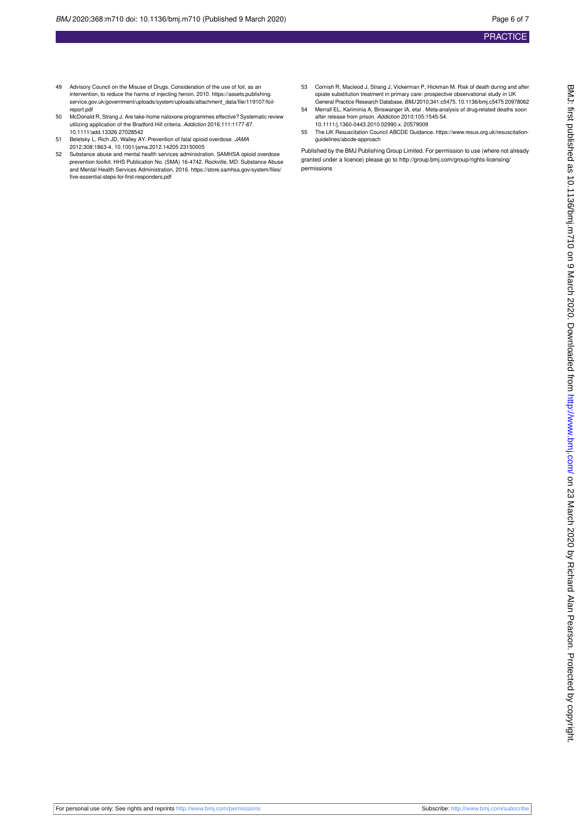- 49 Advisory Council on the Misuse of Drugs. Consideration of the use of foil, as an intervention, to reduce the harms of injecting heroin. 2010. https://assets.publishing. service.gov.uk/government/uploads/system/uploads/attachment\_data/file/119107/foilreport.pdf
- 50 McDonald R, Strang J. Are take-home naloxone programmes effective? Systematic review<br>utilizing application of the Bradford Hill criteria. *Addiction* 2016;111:1177-87. 10.1111/add.13326 27028542
- 51 Beletsky L, Rich JD, Walley AY. Prevention of fatal opioid overdose. JAMA 2012;308:1863-4. 10.1001/jama.2012.14205 23150005
- 52 Substance abuse and mental health services administration. SAMHSA opioid overdose prevention toolkit. HHS Publication No. (SMA) 16-4742. Rockville, MD: Substance Abuse and Mental Health Services Administration, 2016. https://store.samhsa.gov/system/files/ five-essential-steps-for-first-responders.pdf
- 53 Cornish R, Macleod J, Strang J, Vickerman P, Hickman M. Risk of death during and after opiate substitution treatment in primary care: prospective observational study in UK General Practice Research Database. BMJ 2010;341:c5475. 10.1136/bmj.c5475 20978062
- 54 Merrall EL, Kariminia A, Binswanger IA, etal . Meta-analysis of drug-related deaths soon after release from prison. Addiction 2010;105:1545-54. 10.1111/j.1360-0443.2010.02990.x. 20579009
- 55 The UK Resuscitation Council ABCDE Guidance. https://www.resus.org.uk/resuscitationguidelines/abcde-approach

Published by the BMJ Publishing Group Limited. For permission to use (where not already granted under a licence) please go to [http://group.bmj.com/group/rights-licensing/](http://group.bmj.com/group/rights-licensing/permissions) [permissions](http://group.bmj.com/group/rights-licensing/permissions)